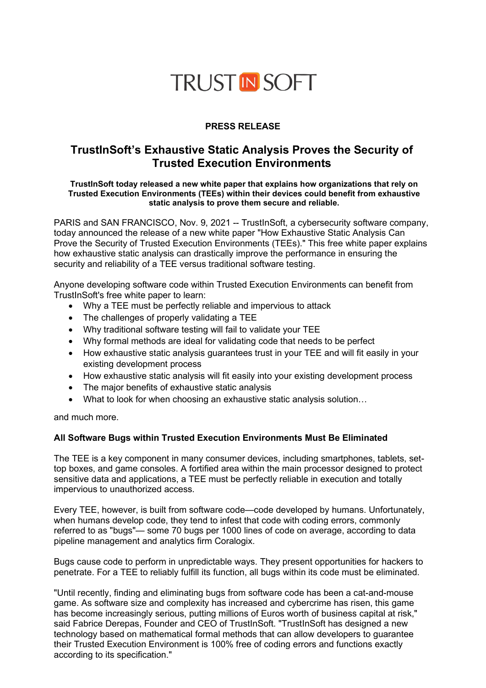# **TRUST IN SOFT**

# **PRESS RELEASE**

# **TrustInSoft's Exhaustive Static Analysis Proves the Security of Trusted Execution Environments**

#### **TrustInSoft today released a new white paper that explains how organizations that rely on Trusted Execution Environments (TEEs) within their devices could benefit from exhaustive static analysis to prove them secure and reliable.**

PARIS and SAN FRANCISCO, Nov. 9, 2021 -- TrustInSoft, a cybersecurity software company, today announced the release of a new white paper "How Exhaustive Static Analysis Can Prove the Security of Trusted Execution Environments (TEEs)." This free white paper explains how exhaustive static analysis can drastically improve the performance in ensuring the security and reliability of a TEE versus traditional software testing.

Anyone developing software code within Trusted Execution Environments can benefit from TrustInSoft's free white paper to learn:

- Why a TEE must be perfectly reliable and impervious to attack
- The challenges of properly validating a TEE
- Why traditional software testing will fail to validate your TEE
- Why formal methods are ideal for validating code that needs to be perfect
- How exhaustive static analysis guarantees trust in your TEE and will fit easily in your existing development process
- How exhaustive static analysis will fit easily into your existing development process
- The major benefits of exhaustive static analysis
- What to look for when choosing an exhaustive static analysis solution...

and much more.

### **All Software Bugs within Trusted Execution Environments Must Be Eliminated**

The TEE is a key component in many consumer devices, including smartphones, tablets, settop boxes, and game consoles. A fortified area within the main processor designed to protect sensitive data and applications, a TEE must be perfectly reliable in execution and totally impervious to unauthorized access.

Every TEE, however, is built from software code—code developed by humans. Unfortunately, when humans develop code, they tend to infest that code with coding errors, commonly referred to as "bugs"— some 70 bugs per 1000 lines of code on average, according to data pipeline management and analytics firm Coralogix.

Bugs cause code to perform in unpredictable ways. They present opportunities for hackers to penetrate. For a TEE to reliably fulfill its function, all bugs within its code must be eliminated.

"Until recently, finding and eliminating bugs from software code has been a cat-and-mouse game. As software size and complexity has increased and cybercrime has risen, this game has become increasingly serious, putting millions of Euros worth of business capital at risk," said Fabrice Derepas, Founder and CEO of TrustInSoft. "TrustInSoft has designed a new technology based on mathematical formal methods that can allow developers to guarantee their Trusted Execution Environment is 100% free of coding errors and functions exactly according to its specification."